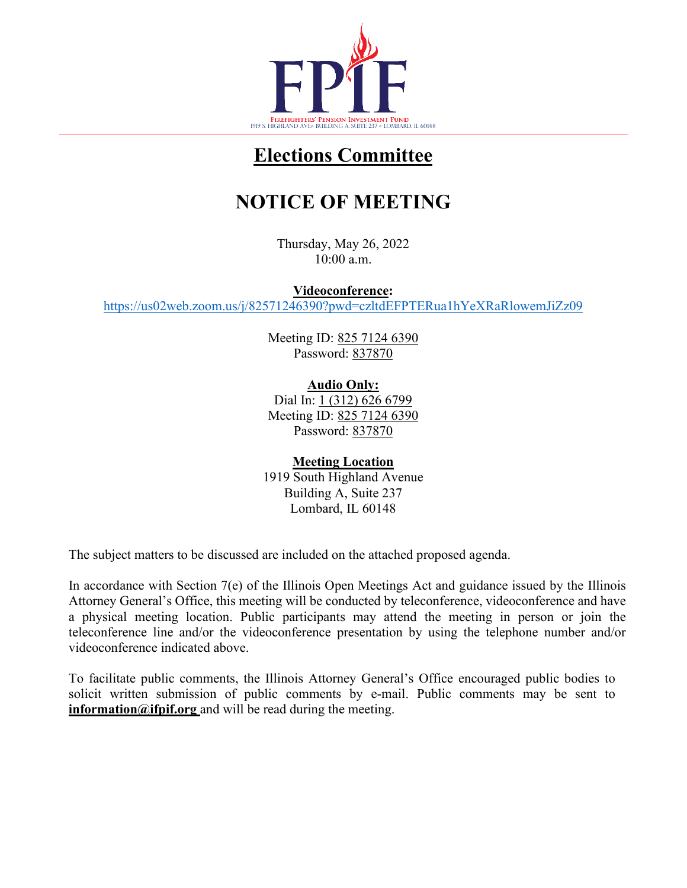

## **Elections Committee**

# **NOTICE OF MEETING**

Thursday, May 26, 2022 10:00 a.m.

**Videoconference:**

<https://us02web.zoom.us/j/82571246390?pwd=czltdEFPTERua1hYeXRaRlowemJiZz09>

Meeting ID: 825 7124 6390 Password: 837870

**Audio Only:** Dial In: 1 (312) 626 6799 Meeting ID: 825 7124 6390 Password: 837870

**Meeting Location** 1919 South Highland Avenue Building A, Suite 237 Lombard, IL 60148

The subject matters to be discussed are included on the attached proposed agenda.

In accordance with Section 7(e) of the Illinois Open Meetings Act and guidance issued by the Illinois Attorney General's Office, this meeting will be conducted by teleconference, videoconference and have a physical meeting location. Public participants may attend the meeting in person or join the teleconference line and/or the videoconference presentation by using the telephone number and/or videoconference indicated above.

To facilitate public comments, the Illinois Attorney General's Office encouraged public bodies to solicit written submission of public comments by e-mail. Public comments may be sent to **[information@ifpif.org](mailto:information@ifpif.org)** and will be read during the meeting.